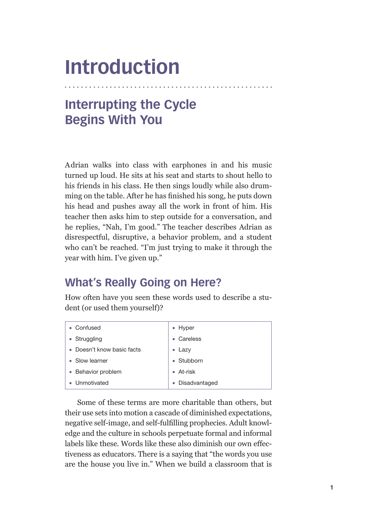# **Introduction**

## **Interrupting the Cycle Begins With You**

Adrian walks into class with earphones in and his music turned up loud. He sits at his seat and starts to shout hello to his friends in his class. He then sings loudly while also drumming on the table. After he has finished his song, he puts down his head and pushes away all the work in front of him. His teacher then asks him to step outside for a conversation, and he replies, "Nah, I'm good." The teacher describes Adrian as disrespectful, disruptive, a behavior problem, and a student who can't be reached. "I'm just trying to make it through the year with him. I've given up."

## **What's Really Going on Here?**

How often have you seen these words used to describe a student (or used them yourself)?

| • Confused                 | $\bullet$ Hyper    |
|----------------------------|--------------------|
| • Struggling               | • Careless         |
| • Doesn't know basic facts | $\bullet$ Lazy     |
| • Slow learner             | • Stubborn         |
| • Behavior problem         | $\bullet$ At-risk  |
| • Unmotivated              | Disadvantaged<br>٠ |

Some of these terms are more charitable than others, but their use sets into motion a cascade of diminished expectations, negative self-image, and self-fulfilling prophecies. Adult knowledge and the culture in schools perpetuate formal and informal labels like these. Words like these also diminish our own effectiveness as educators. There is a saying that "the words you use are the house you live in." When we build a classroom that is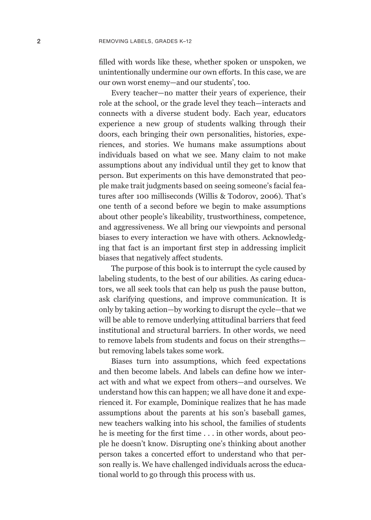filled with words like these, whether spoken or unspoken, we unintentionally undermine our own efforts. In this case, we are our own worst enemy—and our students', too.

Every teacher—no matter their years of experience, their role at the school, or the grade level they teach—interacts and connects with a diverse student body. Each year, educators experience a new group of students walking through their doors, each bringing their own personalities, histories, experiences, and stories. We humans make assumptions about individuals based on what we see. Many claim to not make assumptions about any individual until they get to know that person. But experiments on this have demonstrated that people make trait judgments based on seeing someone's facial features after 100 milliseconds (Willis & Todorov, 2006). That's one tenth of a second before we begin to make assumptions about other people's likeability, trustworthiness, competence, and aggressiveness. We all bring our viewpoints and personal biases to every interaction we have with others. Acknowledging that fact is an important first step in addressing implicit biases that negatively affect students.

The purpose of this book is to interrupt the cycle caused by labeling students, to the best of our abilities. As caring educators, we all seek tools that can help us push the pause button, ask clarifying questions, and improve communication. It is only by taking action—by working to disrupt the cycle—that we will be able to remove underlying attitudinal barriers that feed institutional and structural barriers. In other words, we need to remove labels from students and focus on their strengths but removing labels takes some work.

Biases turn into assumptions, which feed expectations and then become labels. And labels can define how we interact with and what we expect from others—and ourselves. We understand how this can happen; we all have done it and experienced it. For example, Dominique realizes that he has made assumptions about the parents at his son's baseball games, new teachers walking into his school, the families of students he is meeting for the first time . . . in other words, about people he doesn't know. Disrupting one's thinking about another person takes a concerted effort to understand who that person really is. We have challenged individuals across the educational world to go through this process with us.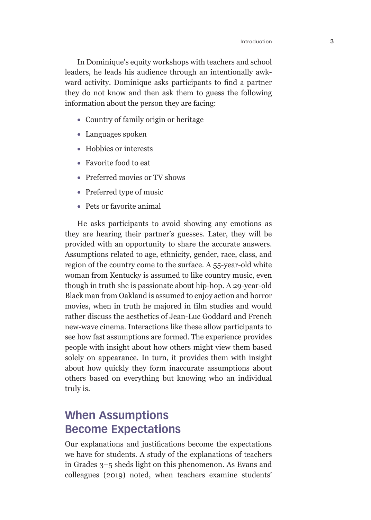In Dominique's equity workshops with teachers and school leaders, he leads his audience through an intentionally awkward activity. Dominique asks participants to find a partner they do not know and then ask them to guess the following information about the person they are facing:

- Country of family origin or heritage
- Languages spoken
- Hobbies or interests
- Favorite food to eat
- Preferred movies or TV shows
- Preferred type of music
- Pets or favorite animal

He asks participants to avoid showing any emotions as they are hearing their partner's guesses. Later, they will be provided with an opportunity to share the accurate answers. Assumptions related to age, ethnicity, gender, race, class, and region of the country come to the surface. A 55-year-old white woman from Kentucky is assumed to like country music, even though in truth she is passionate about hip-hop. A 29-year-old Black man from Oakland is assumed to enjoy action and horror movies, when in truth he majored in film studies and would rather discuss the aesthetics of Jean-Luc Goddard and French new-wave cinema. Interactions like these allow participants to see how fast assumptions are formed. The experience provides people with insight about how others might view them based solely on appearance. In turn, it provides them with insight about how quickly they form inaccurate assumptions about others based on everything but knowing who an individual truly is.

## **When Assumptions Become Expectations**

Our explanations and justifications become the expectations we have for students. A study of the explanations of teachers in Grades 3–5 sheds light on this phenomenon. As Evans and colleagues (2019) noted, when teachers examine students'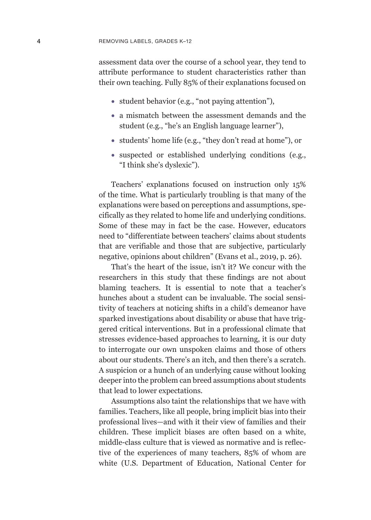assessment data over the course of a school year, they tend to attribute performance to student characteristics rather than their own teaching. Fully 85% of their explanations focused on

- student behavior (e.g., "not paying attention"),
- a mismatch between the assessment demands and the student (e.g., "he's an English language learner"),
- students' home life (e.g., "they don't read at home"), or
- suspected or established underlying conditions (e.g., "I think she's dyslexic").

Teachers' explanations focused on instruction only 15% of the time. What is particularly troubling is that many of the explanations were based on perceptions and assumptions, specifically as they related to home life and underlying conditions. Some of these may in fact be the case. However, educators need to "differentiate between teachers' claims about students that are verifiable and those that are subjective, particularly negative, opinions about children" (Evans et al., 2019, p. 26).

That's the heart of the issue, isn't it? We concur with the researchers in this study that these findings are not about blaming teachers. It is essential to note that a teacher's hunches about a student can be invaluable. The social sensitivity of teachers at noticing shifts in a child's demeanor have sparked investigations about disability or abuse that have triggered critical interventions. But in a professional climate that stresses evidence-based approaches to learning, it is our duty to interrogate our own unspoken claims and those of others about our students. There's an itch, and then there's a scratch. A suspicion or a hunch of an underlying cause without looking deeper into the problem can breed assumptions about students that lead to lower expectations.

Assumptions also taint the relationships that we have with families. Teachers, like all people, bring implicit bias into their professional lives—and with it their view of families and their children. These implicit biases are often based on a white, middle-class culture that is viewed as normative and is reflective of the experiences of many teachers, 85% of whom are white (U.S. Department of Education, National Center for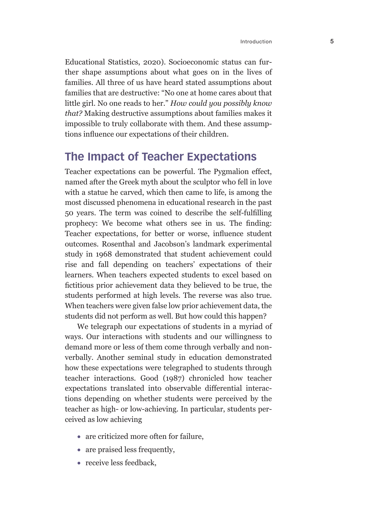Educational Statistics, 2020). Socioeconomic status can further shape assumptions about what goes on in the lives of families. All three of us have heard stated assumptions about families that are destructive: "No one at home cares about that little girl. No one reads to her." *How could you possibly know that?* Making destructive assumptions about families makes it impossible to truly collaborate with them. And these assumptions influence our expectations of their children.

## **The Impact of Teacher Expectations**

Teacher expectations can be powerful. The Pygmalion effect, named after the Greek myth about the sculptor who fell in love with a statue he carved, which then came to life, is among the most discussed phenomena in educational research in the past 50 years. The term was coined to describe the self-fulfilling prophecy: We become what others see in us. The finding: Teacher expectations, for better or worse, influence student outcomes. Rosenthal and Jacobson's landmark experimental study in 1968 demonstrated that student achievement could rise and fall depending on teachers' expectations of their learners. When teachers expected students to excel based on fictitious prior achievement data they believed to be true, the students performed at high levels. The reverse was also true. When teachers were given false low prior achievement data, the students did not perform as well. But how could this happen?

We telegraph our expectations of students in a myriad of ways. Our interactions with students and our willingness to demand more or less of them come through verbally and nonverbally. Another seminal study in education demonstrated how these expectations were telegraphed to students through teacher interactions. Good (1987) chronicled how teacher expectations translated into observable differential interactions depending on whether students were perceived by the teacher as high- or low-achieving. In particular, students perceived as low achieving

- are criticized more often for failure,
- are praised less frequently,
- receive less feedback,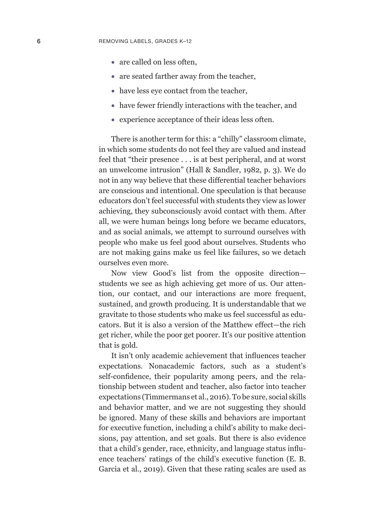- are called on less often,
- are seated farther away from the teacher,
- have less eye contact from the teacher,
- have fewer friendly interactions with the teacher, and
- experience acceptance of their ideas less often.

There is another term for this: a "chilly" classroom climate, in which some students do not feel they are valued and instead feel that "their presence . . . is at best peripheral, and at worst an unwelcome intrusion" (Hall & Sandler, 1982, p. 3). We do not in any way believe that these differential teacher behaviors are conscious and intentional. One speculation is that because educators don't feel successful with students they view as lower achieving, they subconsciously avoid contact with them. After all, we were human beings long before we became educators, and as social animals, we attempt to surround ourselves with people who make us feel good about ourselves. Students who are not making gains make us feel like failures, so we detach ourselves even more.

Now view Good's list from the opposite direction students we see as high achieving get more of us. Our attention, our contact, and our interactions are more frequent, sustained, and growth producing. It is understandable that we gravitate to those students who make us feel successful as educators. But it is also a version of the Matthew effect—the rich get richer, while the poor get poorer. It's our positive attention that is gold.

It isn't only academic achievement that influences teacher expectations. Nonacademic factors, such as a student's self-confidence, their popularity among peers, and the relationship between student and teacher, also factor into teacher expectations (Timmermans et al., 2016). To be sure, social skills and behavior matter, and we are not suggesting they should be ignored. Many of these skills and behaviors are important for executive function, including a child's ability to make decisions, pay attention, and set goals. But there is also evidence that a child's gender, race, ethnicity, and language status influence teachers' ratings of the child's executive function (E. B. Garcia et al., 2019). Given that these rating scales are used as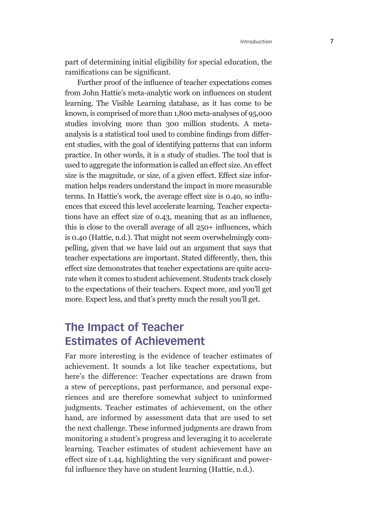part of determining initial eligibility for special education, the ramifications can be significant.

Further proof of the influence of teacher expectations comes from John Hattie's meta-analytic work on influences on student learning. The Visible Learning database, as it has come to be known, is comprised of more than 1,800 meta-analyses of 95,000 studies involving more than 300 million students. A metaanalysis is a statistical tool used to combine findings from different studies, with the goal of identifying patterns that can inform practice. In other words, it is a study of studies. The tool that is used to aggregate the information is called an effect size. An effect size is the magnitude, or size, of a given effect. Effect size information helps readers understand the impact in more measurable terms. In Hattie's work, the average effect size is 0.40, so influences that exceed this level accelerate learning. Teacher expectations have an effect size of 0.43, meaning that as an influence, this is close to the overall average of all 250+ influences, which is 0.40 (Hattie, n.d.). That might not seem overwhelmingly compelling, given that we have laid out an argument that says that teacher expectations are important. Stated differently, then, this effect size demonstrates that teacher expectations are quite accurate when it comes to student achievement. Students track closely to the expectations of their teachers. Expect more, and you'll get more. Expect less, and that's pretty much the result you'll get.

## **The Impact of Teacher Estimates of Achievement**

Far more interesting is the evidence of teacher estimates of achievement. It sounds a lot like teacher expectations, but here's the difference: Teacher expectations are drawn from a stew of perceptions, past performance, and personal experiences and are therefore somewhat subject to uninformed judgments. Teacher estimates of achievement, on the other hand, are informed by assessment data that are used to set the next challenge. These informed judgments are drawn from monitoring a student's progress and leveraging it to accelerate learning. Teacher estimates of student achievement have an effect size of 1.44, highlighting the very significant and powerful influence they have on student learning (Hattie, n.d.).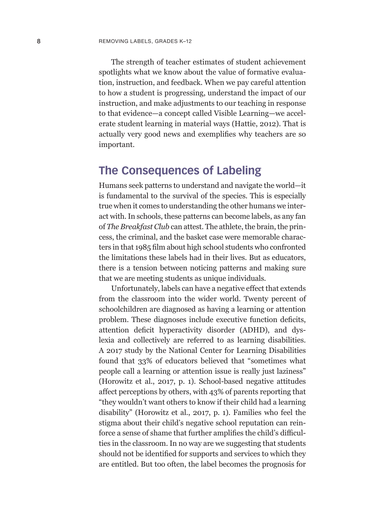The strength of teacher estimates of student achievement spotlights what we know about the value of formative evaluation, instruction, and feedback. When we pay careful attention to how a student is progressing, understand the impact of our instruction, and make adjustments to our teaching in response to that evidence—a concept called Visible Learning—we accelerate student learning in material ways (Hattie, 2012). That is actually very good news and exemplifies why teachers are so important.

### **The Consequences of Labeling**

Humans seek patterns to understand and navigate the world—it is fundamental to the survival of the species. This is especially true when it comes to understanding the other humans we interact with. In schools, these patterns can become labels, as any fan of *The Breakfast Club* can attest. The athlete, the brain, the princess, the criminal, and the basket case were memorable characters in that 1985 film about high school students who confronted the limitations these labels had in their lives. But as educators, there is a tension between noticing patterns and making sure that we are meeting students as unique individuals.

Unfortunately, labels can have a negative effect that extends from the classroom into the wider world. Twenty percent of schoolchildren are diagnosed as having a learning or attention problem. These diagnoses include executive function deficits, attention deficit hyperactivity disorder (ADHD), and dyslexia and collectively are referred to as learning disabilities. A 2017 study by the National Center for Learning Disabilities found that 33% of educators believed that "sometimes what people call a learning or attention issue is really just laziness" (Horowitz et al., 2017, p. 1). School-based negative attitudes affect perceptions by others, with 43% of parents reporting that "they wouldn't want others to know if their child had a learning disability" (Horowitz et al., 2017, p. 1). Families who feel the stigma about their child's negative school reputation can reinforce a sense of shame that further amplifies the child's difficulties in the classroom. In no way are we suggesting that students should not be identified for supports and services to which they are entitled. But too often, the label becomes the prognosis for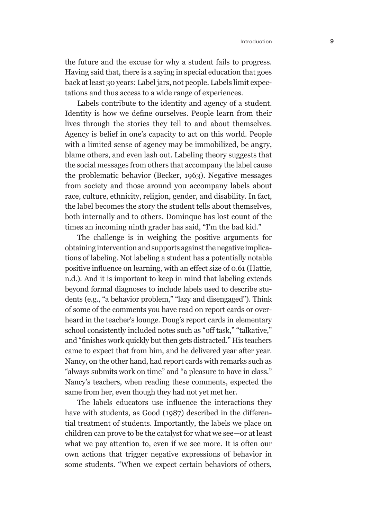the future and the excuse for why a student fails to progress. Having said that, there is a saying in special education that goes back at least 30 years: Label jars, not people. Labels limit expectations and thus access to a wide range of experiences.

Labels contribute to the identity and agency of a student. Identity is how we define ourselves. People learn from their lives through the stories they tell to and about themselves. Agency is belief in one's capacity to act on this world. People with a limited sense of agency may be immobilized, be angry, blame others, and even lash out. Labeling theory suggests that the social messages from others that accompany the label cause the problematic behavior (Becker, 1963). Negative messages from society and those around you accompany labels about race, culture, ethnicity, religion, gender, and disability. In fact, the label becomes the story the student tells about themselves, both internally and to others. Dominque has lost count of the times an incoming ninth grader has said, "I'm the bad kid."

The challenge is in weighing the positive arguments for obtaining intervention and supports against the negative implications of labeling. Not labeling a student has a potentially notable positive influence on learning, with an effect size of 0.61 (Hattie, n.d.). And it is important to keep in mind that labeling extends beyond formal diagnoses to include labels used to describe students (e.g., "a behavior problem," "lazy and disengaged"). Think of some of the comments you have read on report cards or overheard in the teacher's lounge. Doug's report cards in elementary school consistently included notes such as "off task," "talkative," and "finishes work quickly but then gets distracted." His teachers came to expect that from him, and he delivered year after year. Nancy, on the other hand, had report cards with remarks such as "always submits work on time" and "a pleasure to have in class." Nancy's teachers, when reading these comments, expected the same from her, even though they had not yet met her.

The labels educators use influence the interactions they have with students, as Good (1987) described in the differential treatment of students. Importantly, the labels we place on children can prove to be the catalyst for what we see—or at least what we pay attention to, even if we see more. It is often our own actions that trigger negative expressions of behavior in some students. "When we expect certain behaviors of others,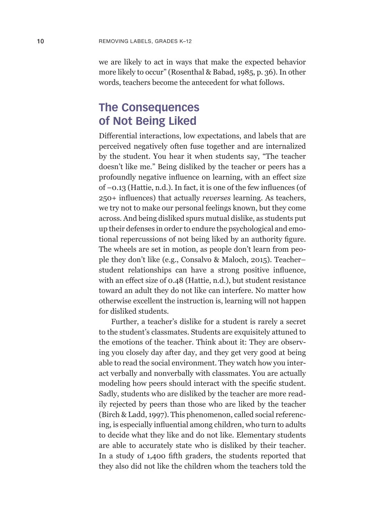we are likely to act in ways that make the expected behavior more likely to occur" (Rosenthal & Babad, 1985, p. 36). In other words, teachers become the antecedent for what follows.

## **The Consequences of Not Being Liked**

Differential interactions, low expectations, and labels that are perceived negatively often fuse together and are internalized by the student. You hear it when students say, "The teacher doesn't like me." Being disliked by the teacher or peers has a profoundly negative influence on learning, with an effect size of –0.13 (Hattie, n.d.). In fact, it is one of the few influences (of 250+ influences) that actually *reverses* learning. As teachers, we try not to make our personal feelings known, but they come across. And being disliked spurs mutual dislike, as students put up their defenses in order to endure the psychological and emotional repercussions of not being liked by an authority figure. The wheels are set in motion, as people don't learn from people they don't like (e.g., Consalvo & Maloch, 2015). Teacher– student relationships can have a strong positive influence, with an effect size of 0.48 (Hattie, n.d.), but student resistance toward an adult they do not like can interfere. No matter how otherwise excellent the instruction is, learning will not happen for disliked students.

Further, a teacher's dislike for a student is rarely a secret to the student's classmates. Students are exquisitely attuned to the emotions of the teacher. Think about it: They are observing you closely day after day, and they get very good at being able to read the social environment. They watch how you interact verbally and nonverbally with classmates. You are actually modeling how peers should interact with the specific student. Sadly, students who are disliked by the teacher are more readily rejected by peers than those who are liked by the teacher (Birch & Ladd, 1997). This phenomenon, called social referencing, is especially influential among children, who turn to adults to decide what they like and do not like. Elementary students are able to accurately state who is disliked by their teacher. In a study of 1,400 fifth graders, the students reported that they also did not like the children whom the teachers told the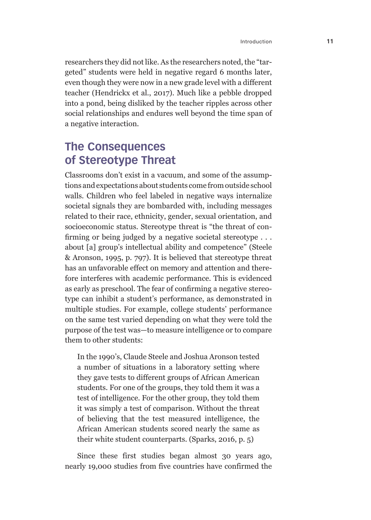researchers they did not like. As the researchers noted, the "targeted" students were held in negative regard 6 months later, even though they were now in a new grade level with a different teacher (Hendrickx et al., 2017). Much like a pebble dropped into a pond, being disliked by the teacher ripples across other social relationships and endures well beyond the time span of a negative interaction.

## **The Consequences of Stereotype Threat**

Classrooms don't exist in a vacuum, and some of the assumptions and expectations about students come from outside school walls. Children who feel labeled in negative ways internalize societal signals they are bombarded with, including messages related to their race, ethnicity, gender, sexual orientation, and socioeconomic status. Stereotype threat is "the threat of confirming or being judged by a negative societal stereotype . . . about [a] group's intellectual ability and competence" (Steele & Aronson, 1995, p. 797). It is believed that stereotype threat has an unfavorable effect on memory and attention and therefore interferes with academic performance. This is evidenced as early as preschool. The fear of confirming a negative stereotype can inhibit a student's performance, as demonstrated in multiple studies. For example, college students' performance on the same test varied depending on what they were told the purpose of the test was—to measure intelligence or to compare them to other students:

In the 1990's, Claude Steele and Joshua Aronson tested a number of situations in a laboratory setting where they gave tests to different groups of African American students. For one of the groups, they told them it was a test of intelligence. For the other group, they told them it was simply a test of comparison. Without the threat of believing that the test measured intelligence, the African American students scored nearly the same as their white student counterparts. (Sparks, 2016, p. 5)

Since these first studies began almost 30 years ago, nearly 19,000 studies from five countries have confirmed the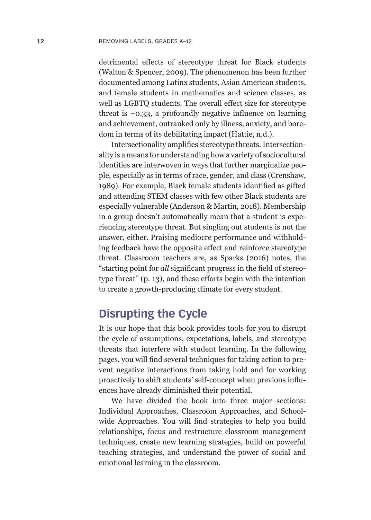detrimental effects of stereotype threat for Black students (Walton & Spencer, 2009). The phenomenon has been further documented among Latinx students, Asian American students, and female students in mathematics and science classes, as well as LGBTQ students. The overall effect size for stereotype threat is  $-0.33$ , a profoundly negative influence on learning and achievement, outranked only by illness, anxiety, and boredom in terms of its debilitating impact (Hattie, n.d.).

Intersectionality amplifies stereotype threats. Intersectionality is a means for understanding how a variety of sociocultural identities are interwoven in ways that further marginalize people, especially as in terms of race, gender, and class (Crenshaw, 1989). For example, Black female students identified as gifted and attending STEM classes with few other Black students are especially vulnerable (Anderson & Martin, 2018). Membership in a group doesn't automatically mean that a student is experiencing stereotype threat. But singling out students is not the answer, either. Praising mediocre performance and withholding feedback have the opposite effect and reinforce stereotype threat. Classroom teachers are, as Sparks (2016) notes, the "starting point for *all* significant progress in the field of stereotype threat" (p. 13), and these efforts begin with the intention to create a growth-producing climate for every student.

## **Disrupting the Cycle**

It is our hope that this book provides tools for you to disrupt the cycle of assumptions, expectations, labels, and stereotype threats that interfere with student learning. In the following pages, you will find several techniques for taking action to prevent negative interactions from taking hold and for working proactively to shift students' self-concept when previous influences have already diminished their potential.

We have divided the book into three major sections: Individual Approaches, Classroom Approaches, and Schoolwide Approaches. You will find strategies to help you build relationships, focus and restructure classroom management techniques, create new learning strategies, build on powerful teaching strategies, and understand the power of social and emotional learning in the classroom.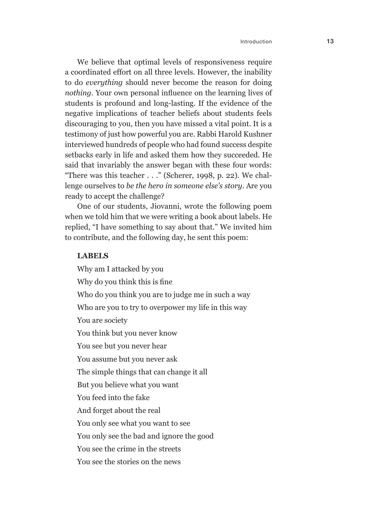We believe that optimal levels of responsiveness require a coordinated effort on all three levels. However, the inability to do *everything* should never become the reason for doing *nothing*. Your own personal influence on the learning lives of students is profound and long-lasting. If the evidence of the negative implications of teacher beliefs about students feels discouraging to you, then you have missed a vital point. It is a testimony of just how powerful you are. Rabbi Harold Kushner interviewed hundreds of people who had found success despite setbacks early in life and asked them how they succeeded. He said that invariably the answer began with these four words: "There was this teacher . . ." (Scherer, 1998, p. 22). We challenge ourselves to *be the hero in someone else's story*. Are you ready to accept the challenge?

One of our students, Jiovanni, wrote the following poem when we told him that we were writing a book about labels. He replied, "I have something to say about that." We invited him to contribute, and the following day, he sent this poem:

#### **LABELS**

Why am I attacked by you Why do you think this is fine Who do you think you are to judge me in such a way Who are you to try to overpower my life in this way You are society You think but you never know You see but you never hear You assume but you never ask The simple things that can change it all But you believe what you want You feed into the fake And forget about the real You only see what you want to see You only see the bad and ignore the good You see the crime in the streets You see the stories on the news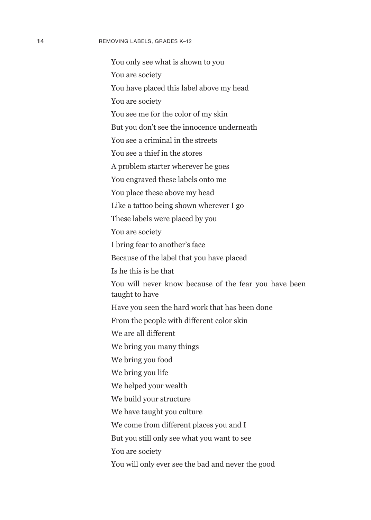You only see what is shown to you You are society You have placed this label above my head You are society You see me for the color of my skin But you don't see the innocence underneath You see a criminal in the streets You see a thief in the stores A problem starter wherever he goes You engraved these labels onto me You place these above my head Like a tattoo being shown wherever I go These labels were placed by you You are society I bring fear to another's face Because of the label that you have placed Is he this is he that You will never know because of the fear you have been taught to have Have you seen the hard work that has been done From the people with different color skin We are all different We bring you many things We bring you food We bring you life We helped your wealth We build your structure We have taught you culture We come from different places you and I But you still only see what you want to see You are society You will only ever see the bad and never the good